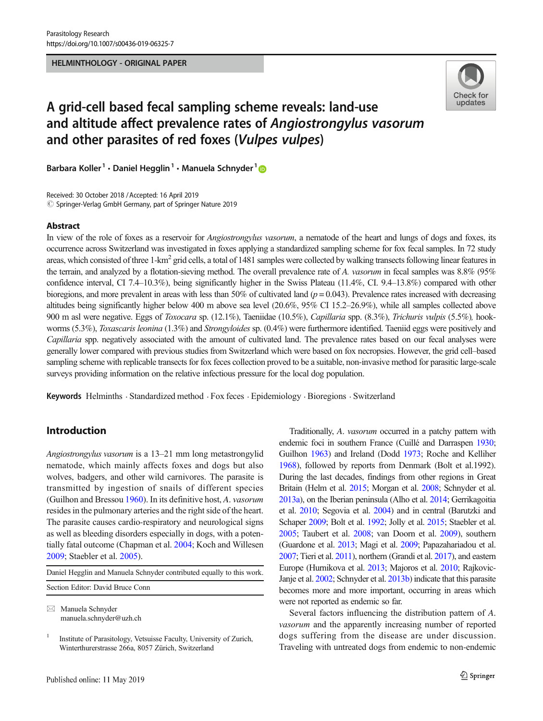#### HELMINTHOLOGY - ORIGINAL PAPER



# A grid-cell based fecal sampling scheme reveals: land-use and altitude affect prevalence rates of Angiostrongylus vasorum and other parasites of red foxes (Vulpes vulpes)

Barbara Koller<sup>1</sup> · Daniel Hegglin<sup>1</sup> · Manuela Schnyder<sup>1</sup>

Received: 30 October 2018 /Accepted: 16 April 2019  $\circled{c}$  Springer-Verlag GmbH Germany, part of Springer Nature 2019

#### Abstract

In view of the role of foxes as a reservoir for *Angiostrongylus vasorum*, a nematode of the heart and lungs of dogs and foxes, its occurrence across Switzerland was investigated in foxes applying a standardized sampling scheme for fox fecal samples. In 72 study areas, which consisted of three  $1-km^2$  grid cells, a total of 1481 samples were collected by walking transects following linear features in the terrain, and analyzed by a flotation-sieving method. The overall prevalence rate of A. vasorum in fecal samples was  $8.8\%$  (95%) confidence interval, CI 7.4–10.3%), being significantly higher in the Swiss Plateau (11.4%, CI. 9.4–13.8%) compared with other bioregions, and more prevalent in areas with less than 50% of cultivated land ( $p = 0.043$ ). Prevalence rates increased with decreasing altitudes being significantly higher below 400 m above sea level (20.6%, 95% CI 15.2–26.9%), while all samples collected above 900 m asl were negative. Eggs of Toxocara sp. (12.1%), Taeniidae (10.5%), Capillaria spp. (8.3%), Trichuris vulpis (5.5%), hookworms (5.3%), Toxascaris leonina (1.3%) and Strongyloides sp. (0.4%) were furthermore identified. Taeniid eggs were positively and Capillaria spp. negatively associated with the amount of cultivated land. The prevalence rates based on our fecal analyses were generally lower compared with previous studies from Switzerland which were based on fox necropsies. However, the grid cell–based sampling scheme with replicable transects for fox feces collection proved to be a suitable, non-invasive method for parasitic large-scale surveys providing information on the relative infectious pressure for the local dog population.

Keywords Helminths . Standardized method . Fox feces . Epidemiology . Bioregions . Switzerland

# Introduction

Angiostrongylus vasorum is a 13–21 mm long metastrongylid nematode, which mainly affects foxes and dogs but also wolves, badgers, and other wild carnivores. The parasite is transmitted by ingestion of snails of different species (Guilhon and Bressou [1960](#page-8-0)). In its definitive host, A. vasorum resides in the pulmonary arteries and the right side of the heart. The parasite causes cardio-respiratory and neurological signs as well as bleeding disorders especially in dogs, with a potentially fatal outcome (Chapman et al. [2004;](#page-8-0) Koch and Willesen [2009;](#page-9-0) Staebler et al. [2005](#page-9-0)).

Daniel Hegglin and Manuela Schnyder contributed equally to this work. Section Editor: David Bruce Conn

 $\boxtimes$  Manuela Schnyder [manuela.schnyder@uzh.ch](mailto:manuela.schnyder@uzh.ch)

Traditionally, A. vasorum occurred in a patchy pattern with endemic foci in southern France (Cuillé and Darraspen [1930;](#page-8-0) Guilhon [1963](#page-8-0)) and Ireland (Dodd [1973;](#page-8-0) Roche and Kelliher [1968](#page-9-0)), followed by reports from Denmark (Bolt et al.1992). During the last decades, findings from other regions in Great Britain (Helm et al. [2015](#page-8-0); Morgan et al. [2008](#page-9-0); Schnyder et al. [2013a\)](#page-9-0), on the Iberian peninsula (Alho et al. [2014;](#page-7-0) Gerrikagoitia et al. [2010;](#page-8-0) Segovia et al. [2004\)](#page-9-0) and in central (Barutzki and Schaper [2009;](#page-8-0) Bolt et al. [1992;](#page-8-0) Jolly et al. [2015;](#page-8-0) Staebler et al. [2005](#page-9-0); Taubert et al. [2008](#page-9-0); van Doorn et al. [2009](#page-10-0)), southern (Guardone et al. [2013](#page-8-0); Magi et al. [2009](#page-9-0); Papazahariadou et al. [2007;](#page-9-0) Tieri et al. [2011](#page-10-0)), northern (Grandi et al. [2017](#page-8-0)), and eastern Europe (Hurnikova et al. [2013](#page-8-0); Majoros et al. [2010](#page-9-0); Rajkovic-Janje et al. [2002;](#page-9-0) Schnyder et al. [2013b](#page-9-0)) indicate that this parasite becomes more and more important, occurring in areas which were not reported as endemic so far.

Several factors influencing the distribution pattern of A. vasorum and the apparently increasing number of reported dogs suffering from the disease are under discussion. Traveling with untreated dogs from endemic to non-endemic

<sup>&</sup>lt;sup>1</sup> Institute of Parasitology, Vetsuisse Faculty, University of Zurich, Winterthurerstrasse 266a, 8057 Zürich, Switzerland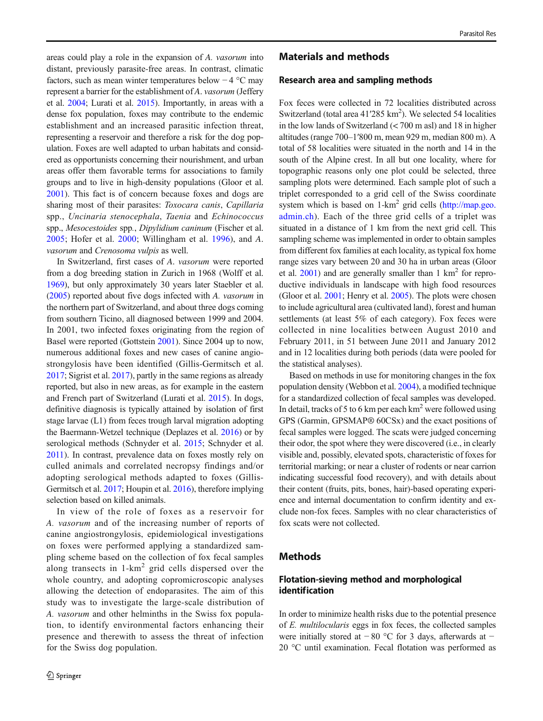areas could play a role in the expansion of A. vasorum into distant, previously parasite-free areas. In contrast, climatic factors, such as mean winter temperatures below  $-4$  °C may represent a barrier for the establishment of A. vasorum (Jeffery et al. [2004;](#page-8-0) Lurati et al. [2015\)](#page-9-0). Importantly, in areas with a dense fox population, foxes may contribute to the endemic establishment and an increased parasitic infection threat, representing a reservoir and therefore a risk for the dog population. Foxes are well adapted to urban habitats and considered as opportunists concerning their nourishment, and urban areas offer them favorable terms for associations to family groups and to live in high-density populations (Gloor et al. [2001\)](#page-8-0). This fact is of concern because foxes and dogs are sharing most of their parasites: Toxocara canis, Capillaria spp., Uncinaria stenocephala, Taenia and Echinococcus spp., Mesocestoides spp., Dipylidium caninum (Fischer et al. [2005](#page-8-0); Hofer et al. [2000;](#page-8-0) Willingham et al. [1996\)](#page-10-0), and A. vasorum and Crenosoma vulpis as well.

In Switzerland, first cases of A. vasorum were reported from a dog breeding station in Zurich in 1968 (Wolff et al. [1969\)](#page-10-0), but only approximately 30 years later Staebler et al. [\(2005\)](#page-9-0) reported about five dogs infected with A. vasorum in the northern part of Switzerland, and about three dogs coming from southern Ticino, all diagnosed between 1999 and 2004. In 2001, two infected foxes originating from the region of Basel were reported (Gottstein [2001\)](#page-8-0). Since 2004 up to now, numerous additional foxes and new cases of canine angiostrongylosis have been identified (Gillis-Germitsch et al. [2017;](#page-8-0) Sigrist et al. [2017](#page-9-0)), partly in the same regions as already reported, but also in new areas, as for example in the eastern and French part of Switzerland (Lurati et al. [2015](#page-9-0)). In dogs, definitive diagnosis is typically attained by isolation of first stage larvae (L1) from feces trough larval migration adopting the Baermann-Wetzel technique (Deplazes et al. [2016](#page-8-0)) or by serological methods (Schnyder et al. [2015;](#page-9-0) Schnyder et al. [2011](#page-9-0)). In contrast, prevalence data on foxes mostly rely on culled animals and correlated necropsy findings and/or adopting serological methods adapted to foxes (Gillis-Germitsch et al. [2017](#page-8-0); Houpin et al. [2016\)](#page-8-0), therefore implying selection based on killed animals.

In view of the role of foxes as a reservoir for A. vasorum and of the increasing number of reports of canine angiostrongylosis, epidemiological investigations on foxes were performed applying a standardized sampling scheme based on the collection of fox fecal samples along transects in  $1-km^2$  grid cells dispersed over the whole country, and adopting copromicroscopic analyses allowing the detection of endoparasites. The aim of this study was to investigate the large-scale distribution of A. vasorum and other helminths in the Swiss fox population, to identify environmental factors enhancing their presence and therewith to assess the threat of infection for the Swiss dog population.

### Materials and methods

#### Research area and sampling methods

Fox feces were collected in 72 localities distributed across Switzerland (total area  $41'285 \text{ km}^2$ ). We selected 54 localities in the low lands of Switzerland (< 700 m asl) and 18 in higher altitudes (range 700–1′800 m, mean 929 m, median 800 m). A total of 58 localities were situated in the north and 14 in the south of the Alpine crest. In all but one locality, where for topographic reasons only one plot could be selected, three sampling plots were determined. Each sample plot of such a triplet corresponded to a grid cell of the Swiss coordinate system which is based on  $1-km^2$  grid cells [\(http://map.geo.](http://map.geo.admin.ch) [admin.ch\)](http://map.geo.admin.ch). Each of the three grid cells of a triplet was situated in a distance of 1 km from the next grid cell. This sampling scheme was implemented in order to obtain samples from different fox families at each locality, as typical fox home range sizes vary between 20 and 30 ha in urban areas (Gloor et al.  $2001$ ) and are generally smaller than 1 km<sup>2</sup> for reproductive individuals in landscape with high food resources (Gloor et al. [2001](#page-8-0); Henry et al. [2005\)](#page-8-0). The plots were chosen to include agricultural area (cultivated land), forest and human settlements (at least 5% of each category). Fox feces were collected in nine localities between August 2010 and February 2011, in 51 between June 2011 and January 2012 and in 12 localities during both periods (data were pooled for the statistical analyses).

Based on methods in use for monitoring changes in the fox population density (Webbon et al. [2004](#page-10-0)), a modified technique for a standardized collection of fecal samples was developed. In detail, tracks of 5 to 6 km per each  $km^2$  were followed using GPS (Garmin, GPSMAP® 60CSx) and the exact positions of fecal samples were logged. The scats were judged concerning their odor, the spot where they were discovered (i.e., in clearly visible and, possibly, elevated spots, characteristic of foxes for territorial marking; or near a cluster of rodents or near carrion indicating successful food recovery), and with details about their content (fruits, pits, bones, hair)-based operating experience and internal documentation to confirm identity and exclude non-fox feces. Samples with no clear characteristics of fox scats were not collected.

# Methods

# Flotation-sieving method and morphological identification

In order to minimize health risks due to the potential presence of E. multilocularis eggs in fox feces, the collected samples were initially stored at  $-80$  °C for 3 days, afterwards at  $-$ 20 °C until examination. Fecal flotation was performed as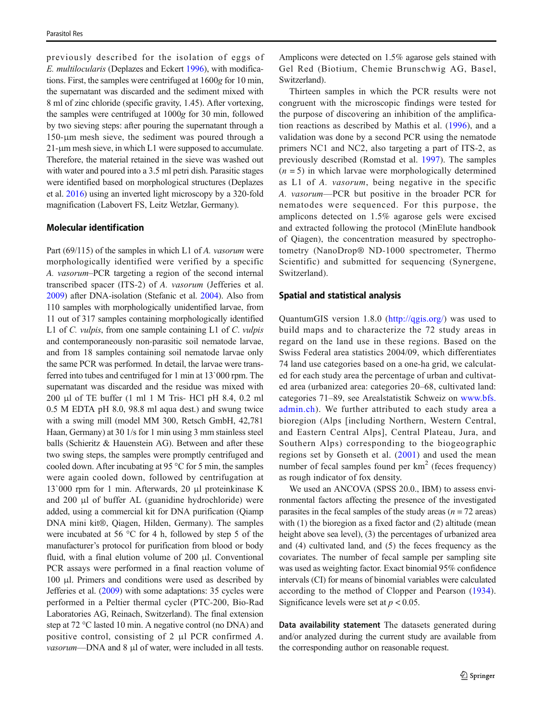previously described for the isolation of eggs of E. multilocularis (Deplazes and Eckert [1996\)](#page-8-0), with modifications. First, the samples were centrifuged at 1600g for 10 min, the supernatant was discarded and the sediment mixed with 8 ml of zinc chloride (specific gravity, 1.45). After vortexing, the samples were centrifuged at 1000g for 30 min, followed by two sieving steps: after pouring the supernatant through a 150-μm mesh sieve, the sediment was poured through a 21-μm mesh sieve, in which L1 were supposed to accumulate. Therefore, the material retained in the sieve was washed out with water and poured into a 3.5 ml petri dish. Parasitic stages were identified based on morphological structures (Deplazes et al. [2016](#page-8-0)) using an inverted light microscopy by a 320-fold magnification (Labovert FS, Leitz Wetzlar, Germany).

### Molecular identification

Part (69/115) of the samples in which L1 of A. vasorum were morphologically identified were verified by a specific A. vasorum–PCR targeting a region of the second internal transcribed spacer (ITS-2) of A. vasorum (Jefferies et al. [2009\)](#page-8-0) after DNA-isolation (Stefanic et al. [2004\)](#page-9-0). Also from 110 samples with morphologically unidentified larvae, from 11 out of 317 samples containing morphologically identified L1 of C. *vulpis*, from one sample containing L1 of C. *vulpis* and contemporaneously non-parasitic soil nematode larvae, and from 18 samples containing soil nematode larvae only the same PCR was performed. In detail, the larvae were transferred into tubes and centrifuged for 1 min at 13`000 rpm. The supernatant was discarded and the residue was mixed with 200 μl of TE buffer (1 ml 1 M Tris- HCl pH 8.4, 0.2 ml 0.5 M EDTA pH 8.0, 98.8 ml aqua dest.) and swung twice with a swing mill (model MM 300, Retsch GmbH, 42,781 Haan, Germany) at 30 1/s for 1 min using 3 mm stainless steel balls (Schieritz & Hauenstein AG). Between and after these two swing steps, the samples were promptly centrifuged and cooled down. After incubating at 95 °C for 5 min, the samples were again cooled down, followed by centrifugation at 13`000 rpm for 1 min. Afterwards, 20 μl proteinkinase K and 200 μl of buffer AL (guanidine hydrochloride) were added, using a commercial kit for DNA purification (Qiamp DNA mini kit®, Qiagen, Hilden, Germany). The samples were incubated at 56 °C for 4 h, followed by step 5 of the manufacturer's protocol for purification from blood or body fluid, with a final elution volume of 200 μl. Conventional PCR assays were performed in a final reaction volume of 100 μl. Primers and conditions were used as described by Jefferies et al. ([2009](#page-8-0)) with some adaptations: 35 cycles were performed in a Peltier thermal cycler (PTC-200, Bio-Rad Laboratories AG, Reinach, Switzerland). The final extension step at 72 °C lasted 10 min. A negative control (no DNA) and positive control, consisting of 2 μl PCR confirmed A. vasorum—DNA and 8 μl of water, were included in all tests.

Amplicons were detected on 1.5% agarose gels stained with Gel Red (Biotium, Chemie Brunschwig AG, Basel, Switzerland).

Thirteen samples in which the PCR results were not congruent with the microscopic findings were tested for the purpose of discovering an inhibition of the amplification reactions as described by Mathis et al. ([1996](#page-9-0)), and a validation was done by a second PCR using the nematode primers NC1 and NC2, also targeting a part of ITS-2, as previously described (Romstad et al. [1997\)](#page-9-0). The samples  $(n = 5)$  in which larvae were morphologically determined as L1 of A. vasorum, being negative in the specific A. vasorum—PCR but positive in the broader PCR for nematodes were sequenced. For this purpose, the amplicons detected on 1.5% agarose gels were excised and extracted following the protocol (MinElute handbook of Qiagen), the concentration measured by spectrophotometry (NanoDrop® ND-1000 spectrometer, Thermo Scientific) and submitted for sequencing (Synergene, Switzerland).

#### Spatial and statistical analysis

QuantumGIS version 1.8.0 [\(http://qgis.org/\)](http://qgis.org/) was used to build maps and to characterize the 72 study areas in regard on the land use in these regions. Based on the Swiss Federal area statistics 2004/09, which differentiates 74 land use categories based on a one-ha grid, we calculated for each study area the percentage of urban and cultivated area (urbanized area: categories 20–68, cultivated land: categories 71–89, see Arealstatistik Schweiz on [www.bfs.](http://www.bfs.admin.ch) [admin.ch\)](http://www.bfs.admin.ch). We further attributed to each study area a bioregion (Alps [including Northern, Western Central, and Eastern Central Alps], Central Plateau, Jura, and Southern Alps) corresponding to the biogeographic regions set by Gonseth et al. ([2001](#page-8-0)) and used the mean number of fecal samples found per  $km<sup>2</sup>$  (feces frequency) as rough indicator of fox density.

We used an ANCOVA (SPSS 20.0., IBM) to assess environmental factors affecting the presence of the investigated parasites in the fecal samples of the study areas  $(n = 72 \text{ areas})$ with (1) the bioregion as a fixed factor and (2) altitude (mean height above sea level), (3) the percentages of urbanized area and (4) cultivated land, and (5) the feces frequency as the covariates. The number of fecal sample per sampling site was used as weighting factor. Exact binomial 95% confidence intervals (CI) for means of binomial variables were calculated according to the method of Clopper and Pearson [\(1934](#page-8-0)). Significance levels were set at  $p < 0.05$ .

Data availability statement The datasets generated during and/or analyzed during the current study are available from the corresponding author on reasonable request.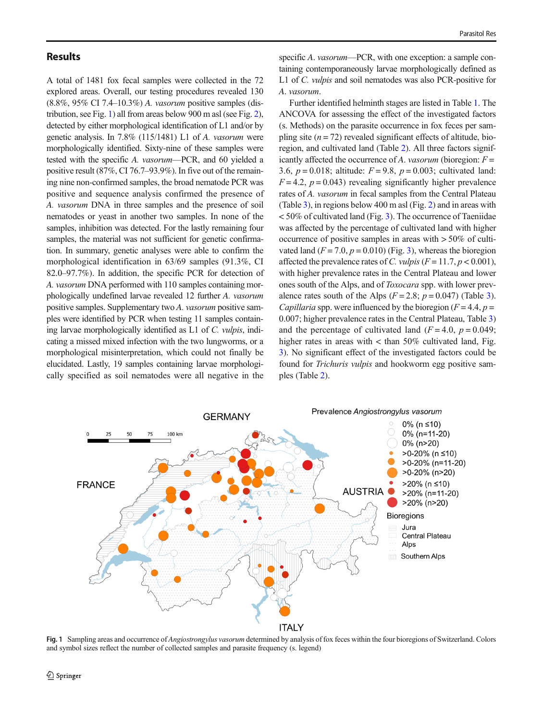# **Results**

A total of 1481 fox fecal samples were collected in the 72 explored areas. Overall, our testing procedures revealed 130 (8.8%, 95% CI 7.4–10.3%) A. vasorum positive samples (distribution, see Fig. 1) all from areas below 900 m asl (see Fig. [2\)](#page-4-0), detected by either morphological identification of L1 and/or by genetic analysis. In 7.8% (115/1481) L1 of A. vasorum were morphologically identified. Sixty-nine of these samples were tested with the specific A. vasorum—PCR, and 60 yielded a positive result (87%, CI 76.7–93.9%). In five out of the remaining nine non-confirmed samples, the broad nematode PCR was positive and sequence analysis confirmed the presence of A. vasorum DNA in three samples and the presence of soil nematodes or yeast in another two samples. In none of the samples, inhibition was detected. For the lastly remaining four samples, the material was not sufficient for genetic confirmation. In summary, genetic analyses were able to confirm the morphological identification in 63/69 samples (91.3%, CI 82.0–97.7%). In addition, the specific PCR for detection of A. vasorum DNA performed with 110 samples containing morphologically undefined larvae revealed 12 further A. vasorum positive samples. Supplementary two A. vasorum positive samples were identified by PCR when testing 11 samples containing larvae morphologically identified as L1 of C. vulpis, indicating a missed mixed infection with the two lungworms, or a morphological misinterpretation, which could not finally be elucidated. Lastly, 19 samples containing larvae morphologically specified as soil nematodes were all negative in the

specific A. *vasorum*—PCR, with one exception: a sample containing contemporaneously larvae morphologically defined as L1 of C. vulpis and soil nematodes was also PCR-positive for A. vasorum.

Further identified helminth stages are listed in Table [1](#page-4-0). The ANCOVA for assessing the effect of the investigated factors (s. Methods) on the parasite occurrence in fox feces per sampling site  $(n = 72)$  revealed significant effects of altitude, bioregion, and cultivated land (Table [2](#page-5-0)). All three factors significantly affected the occurrence of A. vasorum (bioregion:  $F =$ 3.6,  $p = 0.018$ ; altitude:  $F = 9.8$ ,  $p = 0.003$ ; cultivated land:  $F = 4.2$ ,  $p = 0.043$ ) revealing significantly higher prevalence rates of A. vasorum in fecal samples from the Central Plateau (Table [3](#page-5-0)), in regions below 400 m asl (Fig. [2\)](#page-4-0) and in areas with  $<$  50% of cultivated land (Fig. [3\)](#page-6-0). The occurrence of Taeniidae was affected by the percentage of cultivated land with higher occurrence of positive samples in areas with > 50% of cultivated land  $(F = 7.0, p = 0.010)$  (Fig. [3](#page-6-0)), whereas the bioregion affected the prevalence rates of C. vulpis ( $F = 11.7, p < 0.001$ ), with higher prevalence rates in the Central Plateau and lower ones south of the Alps, and of Toxocara spp. with lower prevalence rates south of the Alps  $(F = 2.8; p = 0.047)$  (Table [3\)](#page-5-0). Capillaria spp. were influenced by the bioregion  $(F = 4.4, p =$ 0.007; higher prevalence rates in the Central Plateau, Table [3](#page-5-0)) and the percentage of cultivated land  $(F = 4.0, p = 0.049;$ higher rates in areas with  $\lt$  than 50% cultivated land, Fig. [3](#page-6-0)). No significant effect of the investigated factors could be found for Trichuris vulpis and hookworm egg positive samples (Table [2](#page-5-0)).



Fig. 1 Sampling areas and occurrence of *Angiostrongylus vasorum* determined by analysis of fox feces within the four bioregions of Switzerland. Colors and symbol sizes reflect the number of collected samples and parasite frequency (s. legend)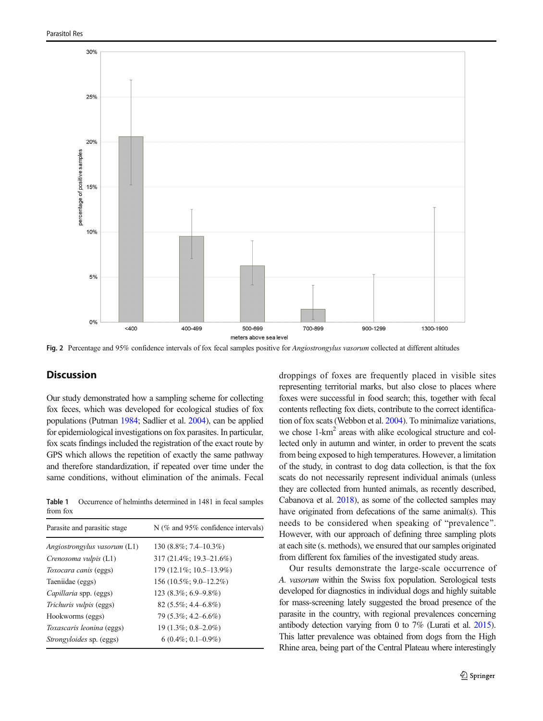<span id="page-4-0"></span>

Fig. 2 Percentage and 95% confidence intervals of fox fecal samples positive for Angiostrongylus vasorum collected at different altitudes

# **Discussion**

Our study demonstrated how a sampling scheme for collecting fox feces, which was developed for ecological studies of fox populations (Putman [1984](#page-9-0); Sadlier et al. [2004\)](#page-9-0), can be applied for epidemiological investigations on fox parasites. In particular, fox scats findings included the registration of the exact route by GPS which allows the repetition of exactly the same pathway and therefore standardization, if repeated over time under the same conditions, without elimination of the animals. Fecal

Table 1 Occurrence of helminths determined in 1481 in fecal samples from fox

| Parasite and parasitic stage | N (% and 95% confidence intervals) |
|------------------------------|------------------------------------|
| Angiostrongylus vasorum (L1) | $130(8.8\%; 7.4-10.3\%)$           |
| Crenosoma vulpis (L1)        | 317 (21.4%; 19.3–21.6%)            |
| Toxocara canis (eggs)        | 179 (12.1%; 10.5–13.9%)            |
| Taeniidae (eggs)             | 156 (10.5%; 9.0–12.2%)             |
| Capillaria spp. (eggs)       | $123(8.3\%; 6.9-9.8\%)$            |
| Trichuris vulpis (eggs)      | $82(5.5\%; 4.4–6.8\%)$             |
| Hookworms (eggs)             | 79 (5.3%; 4.2–6.6%)                |
| Toxascaris leonina (eggs)    | $19(1.3\%; 0.8-2.0\%)$             |
| Strongyloides sp. (eggs)     | $6(0.4\%; 0.1-0.9\%)$              |

droppings of foxes are frequently placed in visible sites representing territorial marks, but also close to places where foxes were successful in food search; this, together with fecal contents reflecting fox diets, contribute to the correct identification of fox scats (Webbon et al. [2004\)](#page-10-0). To minimalize variations, we chose 1-km<sup>2</sup> areas with alike ecological structure and collected only in autumn and winter, in order to prevent the scats from being exposed to high temperatures. However, a limitation of the study, in contrast to dog data collection, is that the fox scats do not necessarily represent individual animals (unless they are collected from hunted animals, as recently described, Cabanova et al. [2018\)](#page-8-0), as some of the collected samples may have originated from defecations of the same animal(s). This needs to be considered when speaking of "prevalence". However, with our approach of defining three sampling plots at each site (s. methods), we ensured that our samples originated from different fox families of the investigated study areas.

Our results demonstrate the large-scale occurrence of A. vasorum within the Swiss fox population. Serological tests developed for diagnostics in individual dogs and highly suitable for mass-screening lately suggested the broad presence of the parasite in the country, with regional prevalences concerning antibody detection varying from 0 to 7% (Lurati et al. [2015\)](#page-9-0). This latter prevalence was obtained from dogs from the High Rhine area, being part of the Central Plateau where interestingly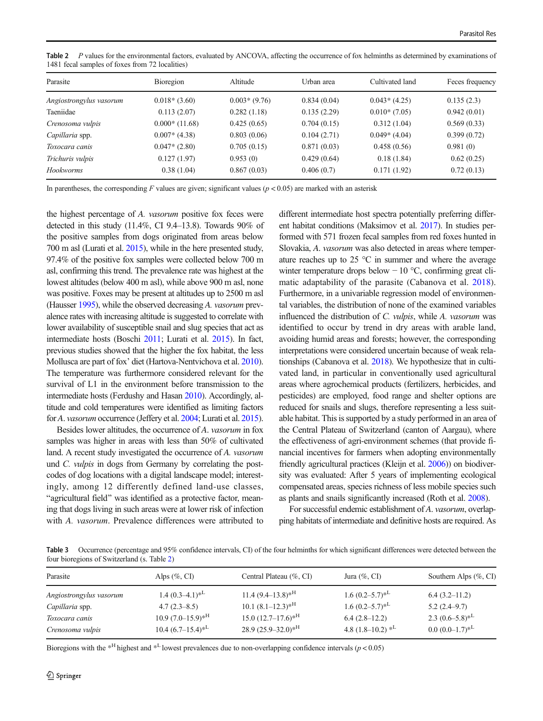| Parasite                | Bioregion       | Altitude       | Urban area  | Cultivated land | Feces frequency |  |  |
|-------------------------|-----------------|----------------|-------------|-----------------|-----------------|--|--|
| Angiostrongylus vasorum | $0.018*(3.60)$  | $0.003*(9.76)$ | 0.834(0.04) | $0.043*(4.25)$  | 0.135(2.3)      |  |  |
| Taeniidae               | 0.113(2.07)     | 0.282(1.18)    | 0.135(2.29) | $0.010*(7.05)$  | 0.942(0.01)     |  |  |
| Crenosoma vulpis        | $0.000*(11.68)$ | 0.425(0.65)    | 0.704(0.15) | 0.312(1.04)     | 0.569(0.33)     |  |  |
| Capillaria spp.         | $0.007*(4.38)$  | 0.803(0.06)    | 0.104(2.71) | $0.049*(4.04)$  | 0.399(0.72)     |  |  |
| Toxocara canis          | $0.047*(2.80)$  | 0.705(0.15)    | 0.871(0.03) | 0.458(0.56)     | 0.981(0)        |  |  |
| Trichuris vulpis        | 0.127(1.97)     | 0.953(0)       | 0.429(0.64) | 0.18(1.84)      | 0.62(0.25)      |  |  |
| <b>Hookworms</b>        | 0.38(1.04)      | 0.867(0.03)    | 0.406(0.7)  | 0.171(1.92)     | 0.72(0.13)      |  |  |

<span id="page-5-0"></span>Table 2 P values for the environmental factors, evaluated by ANCOVA, affecting the occurrence of fox helminths as determined by examinations of 1481 fecal samples of foxes from 72 localities)

In parentheses, the corresponding F values are given; significant values ( $p < 0.05$ ) are marked with an asterisk

the highest percentage of A. vasorum positive fox feces were detected in this study (11.4%, CI 9.4–13.8). Towards 90% of the positive samples from dogs originated from areas below 700 m asl (Lurati et al. [2015](#page-9-0)), while in the here presented study, 97.4% of the positive fox samples were collected below 700 m asl, confirming this trend. The prevalence rate was highest at the lowest altitudes (below 400 m asl), while above 900 m asl, none was positive. Foxes may be present at altitudes up to 2500 m asl (Hausser [1995\)](#page-8-0), while the observed decreasing A. vasorum prevalence rates with increasing altitude is suggested to correlate with lower availability of susceptible snail and slug species that act as intermediate hosts (Boschi [2011;](#page-8-0) Lurati et al. [2015](#page-9-0)). In fact, previous studies showed that the higher the fox habitat, the less Mollusca are part of fox' diet (Hartova-Nentvichova et al. [2010\)](#page-8-0). The temperature was furthermore considered relevant for the survival of L1 in the environment before transmission to the intermediate hosts (Ferdushy and Hasan [2010](#page-8-0)). Accordingly, altitude and cold temperatures were identified as limiting factors for A. vasorum occurrence (Jeffery et al. [2004](#page-8-0); Lurati et al. [2015\)](#page-9-0).

Besides lower altitudes, the occurrence of A. vasorum in fox samples was higher in areas with less than 50% of cultivated land. A recent study investigated the occurrence of A. vasorum und C. vulpis in dogs from Germany by correlating the postcodes of dog locations with a digital landscape model; interestingly, among 12 differently defined land-use classes, "agricultural field" was identified as a protective factor, meaning that dogs living in such areas were at lower risk of infection with A. vasorum. Prevalence differences were attributed to different intermediate host spectra potentially preferring different habitat conditions (Maksimov et al. [2017](#page-9-0)). In studies performed with 571 frozen fecal samples from red foxes hunted in Slovakia, A. vasorum was also detected in areas where temperature reaches up to 25 °C in summer and where the average winter temperature drops below − 10 °C, confirming great climatic adaptability of the parasite (Cabanova et al. [2018](#page-8-0)). Furthermore, in a univariable regression model of environmental variables, the distribution of none of the examined variables influenced the distribution of C. vulpis, while A. vasorum was identified to occur by trend in dry areas with arable land, avoiding humid areas and forests; however, the corresponding interpretations were considered uncertain because of weak relationships (Cabanova et al. [2018\)](#page-8-0). We hypothesize that in cultivated land, in particular in conventionally used agricultural areas where agrochemical products (fertilizers, herbicides, and pesticides) are employed, food range and shelter options are reduced for snails and slugs, therefore representing a less suitable habitat. This is supported by a study performed in an area of the Central Plateau of Switzerland (canton of Aargau), where the effectiveness of agri-environment schemes (that provide financial incentives for farmers when adopting environmentally friendly agricultural practices (Kleijn et al. [2006\)](#page-8-0)) on biodiversity was evaluated: After 5 years of implementing ecological compensated areas, species richness of less mobile species such as plants and snails significantly increased (Roth et al. [2008\)](#page-9-0).

For successful endemic establishment of A. vasorum, overlapping habitats of intermediate and definitive hosts are required. As

Table 3 Occurrence (percentage and 95% confidence intervals, CI) of the four helminths for which significant differences were detected between the four bioregions of Switzerland (s. Table 2)

| Parasite                | Alps $(\% , CI)$         | Central Plateau (%, CI)             | Jura $(\% , CI)$                | Southern Alps $(\% , CI)$ |
|-------------------------|--------------------------|-------------------------------------|---------------------------------|---------------------------|
| Angiostrongylus vasorum | $1.4(0.3-4.1)*^L$        | $11.4(9.4-13.8)*^{\text{H}}$        | $1.6(0.2-5.7)*^{\text{L}}$      | $6.4(3.2-11.2)$           |
| Capillaria spp.         | $4.7(2.3-8.5)$           | $10.1 (8.1 - 12.3)^*$ <sup>H</sup>  | $1.6(0.2-5.7)*^L$               | $5.2(2.4-9.7)$            |
| Toxocara canis          | $10.9 (7.0 - 15.9)^{*H}$ | $15.0 (12.7 - 17.6)^*$ <sup>H</sup> | $6.4(2.8-12.2)$                 | 2.3 $(0.6-5.8)^{*L}$      |
| Crenosoma vulpis        | $10.4~(6.7–15.4)*^L$     | $28.9 (25.9 - 32.0)^*$ <sup>H</sup> | 4.8 $(1.8-10.2)$ * <sup>L</sup> | $0.0~(0.0–1.7)*^L$        |

Bioregions with the  $*$ <sup>H</sup> highest and  $*$ <sup>L</sup> lowest prevalences due to non-overlapping confidence intervals ( $p < 0.05$ )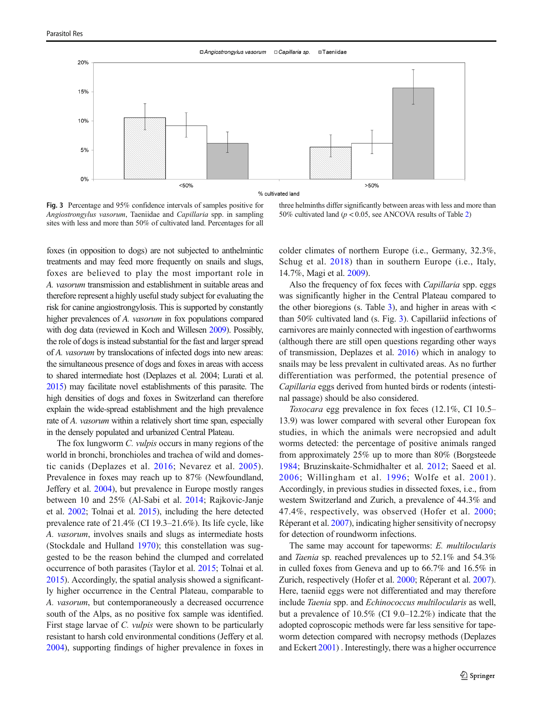<span id="page-6-0"></span>

Fig. 3 Percentage and 95% confidence intervals of samples positive for Angiostrongylus vasorum, Taeniidae and Capillaria spp. in sampling sites with less and more than 50% of cultivated land. Percentages for all

three helminths differ significantly between areas with less and more than 50% cultivated land ( $p < 0.05$ , see ANCOVA results of Table [2\)](#page-5-0)

foxes (in opposition to dogs) are not subjected to anthelmintic treatments and may feed more frequently on snails and slugs, foxes are believed to play the most important role in A. vasorum transmission and establishment in suitable areas and therefore represent a highly useful study subject for evaluating the risk for canine angiostrongylosis. This is supported by constantly higher prevalences of A. *vasorum* in fox populations compared with dog data (reviewed in Koch and Willesen [2009](#page-9-0)). Possibly, the role of dogs is instead substantial for the fast and larger spread of A. vasorum by translocations of infected dogs into new areas: the simultaneous presence of dogs and foxes in areas with access to shared intermediate host (Deplazes et al. 2004; Lurati et al. [2015\)](#page-9-0) may facilitate novel establishments of this parasite. The high densities of dogs and foxes in Switzerland can therefore explain the wide-spread establishment and the high prevalence rate of A. vasorum within a relatively short time span, especially in the densely populated and urbanized Central Plateau.

The fox lungworm *C. vulpis* occurs in many regions of the world in bronchi, bronchioles and trachea of wild and domestic canids (Deplazes et al. [2016;](#page-8-0) Nevarez et al. [2005](#page-9-0)). Prevalence in foxes may reach up to 87% (Newfoundland, Jeffery et al. [2004\)](#page-8-0), but prevalence in Europe mostly ranges between 10 and 25% (Al-Sabi et al. [2014](#page-7-0); Rajkovic-Janje et al. [2002](#page-9-0); Tolnai et al. [2015\)](#page-10-0), including the here detected prevalence rate of 21.4% (CI 19.3–21.6%). Its life cycle, like A. vasorum, involves snails and slugs as intermediate hosts (Stockdale and Hulland [1970\)](#page-9-0); this constellation was suggested to be the reason behind the clumped and correlated occurrence of both parasites (Taylor et al. [2015;](#page-9-0) Tolnai et al. [2015\)](#page-10-0). Accordingly, the spatial analysis showed a significantly higher occurrence in the Central Plateau, comparable to A. vasorum, but contemporaneously a decreased occurrence south of the Alps, as no positive fox sample was identified. First stage larvae of C. *vulpis* were shown to be particularly resistant to harsh cold environmental conditions (Jeffery et al. [2004\)](#page-8-0), supporting findings of higher prevalence in foxes in colder climates of northern Europe (i.e., Germany, 32.3%, Schug et al. [2018](#page-9-0)) than in southern Europe (i.e., Italy, 14.7%, Magi et al. [2009\)](#page-9-0).

Also the frequency of fox feces with Capillaria spp. eggs was significantly higher in the Central Plateau compared to the other bioregions (s. Table [3](#page-5-0)), and higher in areas with  $\lt$ than 50% cultivated land (s. Fig. 3). Capillariid infections of carnivores are mainly connected with ingestion of earthworms (although there are still open questions regarding other ways of transmission, Deplazes et al. [2016](#page-8-0)) which in analogy to snails may be less prevalent in cultivated areas. As no further differentiation was performed, the potential presence of Capillaria eggs derived from hunted birds or rodents (intestinal passage) should be also considered.

Toxocara egg prevalence in fox feces (12.1%, CI 10.5– 13.9) was lower compared with several other European fox studies, in which the animals were necropsied and adult worms detected: the percentage of positive animals ranged from approximately 25% up to more than 80% (Borgsteede [1984](#page-8-0); Bruzinskaite-Schmidhalter et al. [2012](#page-8-0); Saeed et al. [2006;](#page-9-0) Willingham et al. [1996;](#page-10-0) Wolfe et al. [2001\)](#page-10-0). Accordingly, in previous studies in dissected foxes, i.e., from western Switzerland and Zurich, a prevalence of 44.3% and 47.4%, respectively, was observed (Hofer et al. [2000;](#page-8-0) Réperant et al. [2007\)](#page-9-0), indicating higher sensitivity of necropsy for detection of roundworm infections.

The same may account for tapeworms: E. multilocularis and Taenia sp. reached prevalences up to 52.1% and 54.3% in culled foxes from Geneva and up to 66.7% and 16.5% in Zurich, respectively (Hofer et al. [2000](#page-8-0); Réperant et al. [2007\)](#page-9-0). Here, taeniid eggs were not differentiated and may therefore include Taenia spp. and Echinococcus multilocularis as well, but a prevalence of 10.5% (CI 9.0–12.2%) indicate that the adopted coproscopic methods were far less sensitive for tapeworm detection compared with necropsy methods (Deplazes and Eckert [2001\)](#page-8-0) . Interestingly, there was a higher occurrence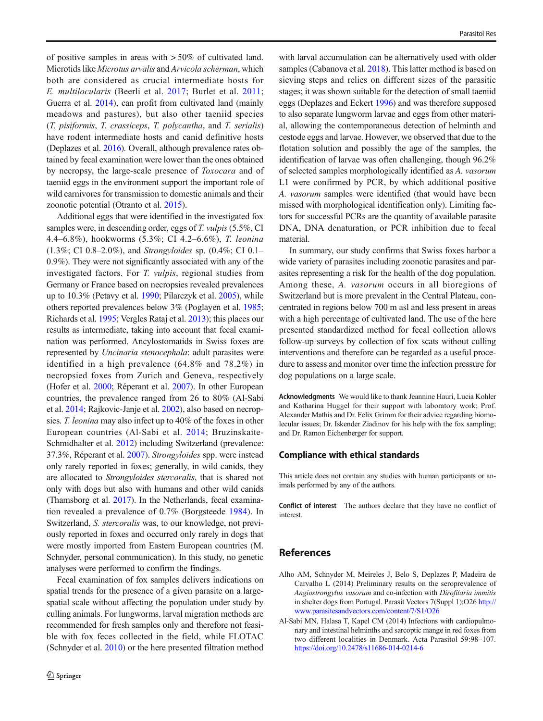<span id="page-7-0"></span>of positive samples in areas with > 50% of cultivated land. Microtids like Microtus arvalis and Arvicola scherman, which both are considered as crucial intermediate hosts for E. multilocularis (Beerli et al. [2017](#page-8-0); Burlet et al. [2011](#page-8-0); Guerra et al. [2014](#page-8-0)), can profit from cultivated land (mainly meadows and pastures), but also other taeniid species (T. pisiformis, T. crassiceps, T. polycantha, and T. serialis) have rodent intermediate hosts and canid definitive hosts (Deplazes et al. [2016\)](#page-8-0). Overall, although prevalence rates obtained by fecal examination were lower than the ones obtained by necropsy, the large-scale presence of Toxocara and of taeniid eggs in the environment support the important role of wild carnivores for transmission to domestic animals and their zoonotic potential (Otranto et al. [2015\)](#page-9-0).

Additional eggs that were identified in the investigated fox samples were, in descending order, eggs of T. vulpis (5.5%, CI 4.4–6.8%), hookworms (5.3%; CI 4.2–6.6%), T. leonina (1.3%; CI 0.8–2.0%), and Strongyloides sp. (0.4%; CI 0.1– 0.9%). They were not significantly associated with any of the investigated factors. For T. vulpis, regional studies from Germany or France based on necropsies revealed prevalences up to 10.3% (Petavy et al. [1990](#page-9-0); Pilarczyk et al. [2005](#page-9-0)), while others reported prevalences below 3% (Poglayen et al. [1985](#page-9-0); Richards et al. [1995;](#page-9-0) Vergles Rataj et al. [2013](#page-10-0)); this places our results as intermediate, taking into account that fecal examination was performed. Ancylostomatids in Swiss foxes are represented by Uncinaria stenocephala: adult parasites were identified in a high prevalence (64.8% and 78.2%) in necropsied foxes from Zurich and Geneva, respectively (Hofer et al. [2000](#page-8-0); Réperant et al. [2007\)](#page-9-0). In other European countries, the prevalence ranged from 26 to 80% (Al-Sabi et al. 2014; Rajkovic-Janje et al. [2002](#page-9-0)), also based on necropsies. T. leonina may also infect up to 40% of the foxes in other European countries (Al-Sabi et al. 2014; Bruzinskaite-Schmidhalter et al. [2012](#page-8-0)) including Switzerland (prevalence: 37.3%, Réperant et al. [2007\)](#page-9-0). Strongyloides spp. were instead only rarely reported in foxes; generally, in wild canids, they are allocated to Strongyloides stercoralis, that is shared not only with dogs but also with humans and other wild canids (Thamsborg et al. [2017\)](#page-10-0). In the Netherlands, fecal examination revealed a prevalence of 0.7% (Borgsteede [1984](#page-8-0)). In Switzerland, S. stercoralis was, to our knowledge, not previously reported in foxes and occurred only rarely in dogs that were mostly imported from Eastern European countries (M. Schnyder, personal communication). In this study, no genetic analyses were performed to confirm the findings.

Fecal examination of fox samples delivers indications on spatial trends for the presence of a given parasite on a largespatial scale without affecting the population under study by culling animals. For lungworms, larval migration methods are recommended for fresh samples only and therefore not feasible with fox feces collected in the field, while FLOTAC (Schnyder et al. [2010](#page-9-0)) or the here presented filtration method

with larval accumulation can be alternatively used with older samples (Cabanova et al. [2018\)](#page-8-0). This latter method is based on sieving steps and relies on different sizes of the parasitic stages; it was shown suitable for the detection of small taeniid eggs (Deplazes and Eckert [1996](#page-8-0)) and was therefore supposed to also separate lungworm larvae and eggs from other material, allowing the contemporaneous detection of helminth and cestode eggs and larvae. However, we observed that due to the flotation solution and possibly the age of the samples, the identification of larvae was often challenging, though 96.2% of selected samples morphologically identified as A. vasorum L1 were confirmed by PCR, by which additional positive A. vasorum samples were identified (that would have been missed with morphological identification only). Limiting factors for successful PCRs are the quantity of available parasite DNA, DNA denaturation, or PCR inhibition due to fecal material.

In summary, our study confirms that Swiss foxes harbor a wide variety of parasites including zoonotic parasites and parasites representing a risk for the health of the dog population. Among these, A. vasorum occurs in all bioregions of Switzerland but is more prevalent in the Central Plateau, concentrated in regions below 700 m asl and less present in areas with a high percentage of cultivated land. The use of the here presented standardized method for fecal collection allows follow-up surveys by collection of fox scats without culling interventions and therefore can be regarded as a useful procedure to assess and monitor over time the infection pressure for dog populations on a large scale.

Acknowledgments We would like to thank Jeannine Hauri, Lucia Kohler and Katharina Huggel for their support with laboratory work; Prof. Alexander Mathis and Dr. Felix Grimm for their advice regarding biomolecular issues; Dr. Iskender Ziadinov for his help with the fox sampling; and Dr. Ramon Eichenberger for support.

#### Compliance with ethical standards

This article does not contain any studies with human participants or animals performed by any of the authors.

Conflict of interest The authors declare that they have no conflict of interest.

# References

- Alho AM, Schnyder M, Meireles J, Belo S, Deplazes P, Madeira de Carvalho L (2014) Preliminary results on the seroprevalence of Angiostrongylus vasorum and co-infection with Dirofilaria immitis in shelter dogs from Portugal. Parasit Vectors 7(Suppl 1):O26 [http://](https://doi.org/http://www.parasitesandvectors.com/content/7/S1/O26) [www.parasitesandvectors.com/content/7/S1/O26](https://doi.org/http://www.parasitesandvectors.com/content/7/S1/O26)
- Al-Sabi MN, Halasa T, Kapel CM (2014) Infections with cardiopulmonary and intestinal helminths and sarcoptic mange in red foxes from two different localities in Denmark. Acta Parasitol 59:98–107. <https://doi.org/10.2478/s11686-014-0214-6>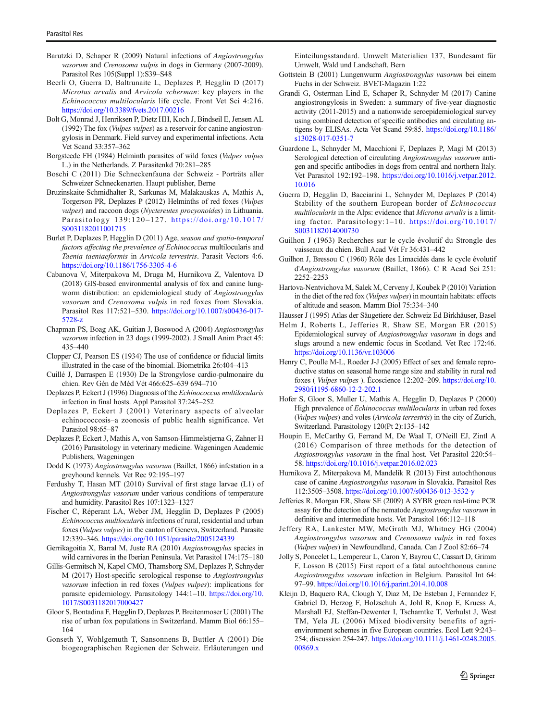- <span id="page-8-0"></span>Barutzki D, Schaper R (2009) Natural infections of Angiostrongylus vasorum and Crenosoma vulpis in dogs in Germany (2007-2009). Parasitol Res 105(Suppl 1):S39–S48
- Beerli O, Guerra D, Baltrunaite L, Deplazes P, Hegglin D (2017) Microtus arvalis and Arvicola scherman: key players in the Echinococcus multilocularis life cycle. Front Vet Sci 4:216. <https://doi.org/10.3389/fvets.2017.00216>
- Bolt G, Monrad J, Henriksen P, Dietz HH, Koch J, Bindseil E, Jensen AL (1992) The fox (Vulpes vulpes) as a reservoir for canine angiostrongylosis in Denmark. Field survey and experimental infections. Acta Vet Scand 33:357–362
- Borgsteede FH (1984) Helminth parasites of wild foxes (Vulpes vulpes L.) in the Netherlands. Z Parasitenkd 70:281–285
- Boschi C (2011) Die Schneckenfauna der Schweiz Porträts aller Schweizer Schneckenarten. Haupt publisher, Berne
- Bruzinskaite-Schmidhalter R, Sarkunas M, Malakauskas A, Mathis A, Torgerson PR, Deplazes P (2012) Helminths of red foxes (Vulpes vulpes) and raccoon dogs (Nyctereutes procyonoides) in Lithuania. Parasitology 139:120–127. [https://doi.org/10.1017/](https://doi.org/10.1017/S0031182011001715) [S0031182011001715](https://doi.org/10.1017/S0031182011001715)
- Burlet P, Deplazes P, Hegglin D (2011) Age, season and spatio-temporal factors affecting the prevalence of Echinococcus multilocularis and Taenia taeniaeformis in Arvicola terrestris. Parasit Vectors 4:6. <https://doi.org/10.1186/1756-3305-4-6>
- Cabanova V, Miterpakova M, Druga M, Hurnikova Z, Valentova D (2018) GIS-based environmental analysis of fox and canine lungworm distribution: an epidemiological study of Angiostrongylus vasorum and Crenosoma vulpis in red foxes from Slovakia. Parasitol Res 117:521–530. [https://doi.org/10.1007/s00436-017-](https://doi.org/10.1007/s00436-017-5728-z) [5728-z](https://doi.org/10.1007/s00436-017-5728-z)
- Chapman PS, Boag AK, Guitian J, Boswood A (2004) Angiostrongylus vasorum infection in 23 dogs (1999-2002). J Small Anim Pract 45: 435–440
- Clopper CJ, Pearson ES (1934) The use of confidence or fiducial limits illustrated in the case of the binomial. Biometrika 26:404–413
- Cuillé J, Darraspen E (1930) De la Strongylose cardio-pulmonaire du chien. Rev Gén de Méd Vét 466:625–639 694–710
- Deplazes P, Eckert J (1996) Diagnosis of the Echinococcus multilocularis infection in final hosts. Appl Parasitol 37:245–252
- Deplazes P, Eckert J (2001) Veterinary aspects of alveolar echinococcosis–a zoonosis of public health significance. Vet Parasitol 98:65–87
- Deplazes P, Eckert J, Mathis A, von Samson-Himmelstjerna G, Zahner H (2016) Parasitology in veterinary medicine. Wageningen Academic Publishers, Wageningen
- Dodd K (1973) Angiostrongylus vasorum (Baillet, 1866) infestation in a greyhound kennels. Vet Rec 92:195–197
- Ferdushy T, Hasan MT (2010) Survival of first stage larvae (L1) of Angiostrongylus vasorum under various conditions of temperature and humidity. Parasitol Res 107:1323–1327
- Fischer C, Réperant LA, Weber JM, Hegglin D, Deplazes P (2005) Echinococcus multlocularis infections of rural, residential and urban foxes (Vulpes vulpes) in the canton of Geneva, Switzerland. Parasite 12:339–346. <https://doi.org/10.1051/parasite/2005124339>
- Gerrikagoitia X, Barral M, Juste RA (2010) Angiostrongylus species in wild carnivores in the Iberian Peninsula. Vet Parasitol 174:175–180
- Gillis-Germitsch N, Kapel CMO, Thamsborg SM, Deplazes P, Schnyder M (2017) Host-specific serological response to Angiostrongylus vasorum infection in red foxes (Vulpes vulpes): implications for parasite epidemiology. Parasitology 144:1–10. [https://doi.org/10.](https://doi.org/10.1017/S0031182017000427) [1017/S0031182017000427](https://doi.org/10.1017/S0031182017000427)
- Gloor S, Bontadina F, Hegglin D, Deplazes P, Breitenmoser U (2001) The rise of urban fox populations in Switzerland. Mamm Biol 66:155– 164
- Gonseth Y, Wohlgemuth T, Sansonnens B, Buttler A (2001) Die biogeographischen Regionen der Schweiz. Erläuterungen und

Einteilungsstandard. Umwelt Materialien 137, Bundesamt für Umwelt, Wald und Landschaft, Bern

- Gottstein B (2001) Lungenwurm Angiostrongylus vasorum bei einem Fuchs in der Schweiz. BVET-Magazin 1:22
- Grandi G, Osterman Lind E, Schaper R, Schnyder M (2017) Canine angiostrongylosis in Sweden: a summary of five-year diagnostic activity (2011-2015) and a nationwide seroepidemiological survey using combined detection of specific antibodies and circulating antigens by ELISAs. Acta Vet Scand 59:85. [https://doi.org/10.1186/](https://doi.org/10.1186/s13028-017-0351-7) [s13028-017-0351-7](https://doi.org/10.1186/s13028-017-0351-7)
- Guardone L, Schnyder M, Macchioni F, Deplazes P, Magi M (2013) Serological detection of circulating Angiostrongylus vasorum antigen and specific antibodies in dogs from central and northern Italy. Vet Parasitol 192:192–198. [https://doi.org/10.1016/j.vetpar.2012.](https://doi.org/10.1016/j.vetpar.2012.10.016) [10.016](https://doi.org/10.1016/j.vetpar.2012.10.016)
- Guerra D, Hegglin D, Bacciarini L, Schnyder M, Deplazes P (2014) Stability of the southern European border of Echinococcus multilocularis in the Alps: evidence that Microtus arvalis is a limiting factor. Parasitology:1–10. [https://doi.org/10.1017/](https://doi.org/10.1017/S0031182014000730) [S0031182014000730](https://doi.org/10.1017/S0031182014000730)
- Guilhon J (1963) Recherches sur le cycle évolutif du Strongle des vaisseaux du chien. Bull Acad Vét Fr 36:431–442
- Guilhon J, Bressou C (1960) Rôle des Limacidés dans le cycle évolutif d'Angiostrongylus vasorum (Baillet, 1866). C R Acad Sci 251: 2252–2253
- Hartova-Nentvichova M, Salek M, Cerveny J, Koubek P (2010) Variation in the diet of the red fox (Vulpes vulpes) in mountain habitats: effects of altitude and season. Mamm Biol 75:334–340
- Hausser J (1995) Atlas der Säugetiere der. Schweiz Ed Birkhäuser, Basel
- Helm J, Roberts L, Jefferies R, Shaw SE, Morgan ER (2015) Epidemiological survey of Angiostrongylus vasorum in dogs and slugs around a new endemic focus in Scotland. Vet Rec 172:46. <https://doi.org/10.1136/vr.103006>
- Henry C, Poulle M-L, Roeder J-J (2005) Effect of sex and female reproductive status on seasonal home range size and stability in rural red foxes ( Vulpes vulpes ). Écoscience 12:202–209. [https://doi.org/10.](https://doi.org/10.2980/i1195-6860-12-2-202.1) [2980/i1195-6860-12-2-202.1](https://doi.org/10.2980/i1195-6860-12-2-202.1)
- Hofer S, Gloor S, Muller U, Mathis A, Hegglin D, Deplazes P (2000) High prevalence of Echinococcus multilocularis in urban red foxes (Vulpes vulpes) and voles (Arvicola terrestris) in the city of Zurich, Switzerland. Parasitology 120(Pt 2):135–142
- Houpin E, McCarthy G, Ferrand M, De Waal T, O'Neill EJ, Zintl A (2016) Comparison of three methods for the detection of Angiostrongylus vasorum in the final host. Vet Parasitol 220:54– 58. <https://doi.org/10.1016/j.vetpar.2016.02.023>
- Hurnikova Z, Miterpakova M, Mandelik R (2013) First autochthonous case of canine Angiostrongylus vasorum in Slovakia. Parasitol Res 112:3505–3508. <https://doi.org/10.1007/s00436-013-3532-y>
- Jefferies R, Morgan ER, Shaw SE (2009) A SYBR green real-time PCR assay for the detection of the nematode Angiostrongylus vasorum in definitive and intermediate hosts. Vet Parasitol 166:112–118
- Jeffery RA, Lankester MW, McGrath MJ, Whitney HG (2004) Angiostrongylus vasorum and Crenosoma vulpis in red foxes (Vulpes vulpes) in Newfoundland, Canada. Can J Zool 82:66–74
- Jolly S, Poncelet L, Lempereur L, Caron Y, Bayrou C, Cassart D, Grimm F, Losson B (2015) First report of a fatal autochthonous canine Angiostrongylus vasorum infection in Belgium. Parasitol Int 64: 97–99. <https://doi.org/10.1016/j.parint.2014.10.008>
- Kleijn D, Baquero RA, Clough Y, Diaz M, De Esteban J, Fernandez F, Gabriel D, Herzog F, Holzschuh A, Johl R, Knop E, Kruess A, Marshall EJ, Steffan-Dewenter I, Tscharntke T, Verhulst J, West TM, Yela JL (2006) Mixed biodiversity benefits of agrienvironment schemes in five European countries. Ecol Lett 9:243– 254; discussion 254-247. [https://doi.org/10.1111/j.1461-0248.2005.](https://doi.org/10.1111/j.1461-0248.2005.00869.x) [00869.x](https://doi.org/10.1111/j.1461-0248.2005.00869.x)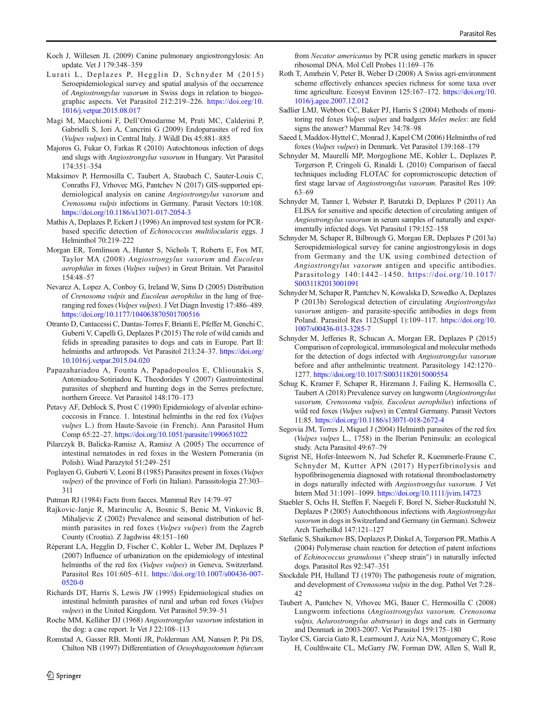- <span id="page-9-0"></span>Koch J, Willesen JL (2009) Canine pulmonary angiostrongylosis: An update. Vet J 179:348–359
- Lurati L, Deplazes P, Hegglin D, Schnyder M (2015) Seroepidemiological survey and spatial analysis of the occurrence of Angiostrongylus vasorum in Swiss dogs in relation to biogeographic aspects. Vet Parasitol 212:219–226. [https://doi.org/10.](https://doi.org/10.1016/j.vetpar.2015.08.017) [1016/j.vetpar.2015.08.017](https://doi.org/10.1016/j.vetpar.2015.08.017)
- Magi M, Macchioni F, Dell'Omodarme M, Prati MC, Calderini P, Gabrielli S, Iori A, Cancrini G (2009) Endoparasites of red fox (Vulpes vulpes) in Central Italy. J Wildl Dis 45:881–885
- Majoros G, Fukar O, Farkas R (2010) Autochtonous infection of dogs and slugs with Angiostrongylus vasorum in Hungary. Vet Parasitol 174:351–354
- Maksimov P, Hermosilla C, Taubert A, Staubach C, Sauter-Louis C, Conraths FJ, Vrhovec MG, Pantchev N (2017) GIS-supported epidemiological analysis on canine Angiostrongylus vasorum and Crenosoma vulpis infections in Germany. Parasit Vectors 10:108. <https://doi.org/10.1186/s13071-017-2054-3>
- Mathis A, Deplazes P, Eckert J (1996) An improved test system for PCRbased specific detection of Echinococcus multilocularis eggs. J Helminthol 70:219–222
- Morgan ER, Tomlinson A, Hunter S, Nichols T, Roberts E, Fox MT, Taylor MA (2008) Angiostrongylus vasorum and Eucoleus aerophilus in foxes (Vulpes vulpes) in Great Britain. Vet Parasitol 154:48–57
- Nevarez A, Lopez A, Conboy G, Ireland W, Sims D (2005) Distribution of Crenosoma vulpis and Eucoleus aerophilus in the lung of freeranging red foxes (Vulpes vulpes). J Vet Diagn Investig 17:486–489. <https://doi.org/10.1177/104063870501700516>
- Otranto D, Cantacessi C, Dantas-Torres F, Brianti E, Pfeffer M, Genchi C, Guberti V, Capelli G, Deplazes P (2015) The role of wild canids and felids in spreading parasites to dogs and cats in Europe. Part II: helminths and arthropods. Vet Parasitol 213:24-37. [https://doi.org/](https://doi.org/10.1016/j.vetpar.2015.04.020) [10.1016/j.vetpar.2015.04.020](https://doi.org/10.1016/j.vetpar.2015.04.020)
- Papazahariadou A, Founta A, Papadopoulos E, Chliounakis S, Antoniadou-Sotiriadou K, Theodorides Y (2007) Gastrointestinal parasites of shepherd and hunting dogs in the Serres prefecture, northern Greece. Vet Parasitol 148:170–173
- Petavy AF, Deblock S, Prost C (1990) Epidemiology of alveolar echinococcosis in France. 1. Intestinal helminths in the red fox (Vulpes vulpes L.) from Haute-Savoie (in French). Ann Parasitol Hum Comp 65:22–27. <https://doi.org/10.1051/parasite/1990651022>
- Pilarczyk B, Balicka-Ramisz A, Ramisz A (2005) The occurrence of intestinal nematodes in red foxes in the Western Pomerania (in Polish). Wiad Parazytol 51:249–251
- Poglayen G, Guberti V, Leoni B (1985) Parasites present in foxes (Vulpes vulpes) of the province of Forli (in Italian). Parassitologia 27:303– 311
- Putman RJ (1984) Facts from faeces. Mammal Rev 14:79–97
- Rajkovic-Janje R, Marinculic A, Bosnic S, Benic M, Vinkovic B, Mihaljevic Z (2002) Prevalence and seasonal distribution of helminth parasites in red foxes (Vulpes vulpes) from the Zagreb County (Croatia). Z Jagdwiss 48:151–160
- Réperant LA, Hegglin D, Fischer C, Kohler L, Weber JM, Deplazes P (2007) Influence of urbanization on the epidemiology of intestinal helminths of the red fox (*Vulpes vulpes*) in Geneva, Switzerland. Parasitol Res 101:605–611. [https://doi.org/10.1007/s00436-007-](https://doi.org/10.1007/s00436-007-0520-0) [0520-0](https://doi.org/10.1007/s00436-007-0520-0)
- Richards DT, Harris S, Lewis JW (1995) Epidemiological studies on intestinal helminth parasites of rural and urban red foxes (Vulpes vulpes) in the United Kingdom. Vet Parasitol 59:39–51
- Roche MM, Kelliher DJ (1968) Angiostrongylus vasorum infestation in the dog: a case report. Ir Vet J 22:108–113
- Romstad A, Gasser RB, Monti JR, Polderman AM, Nansen P, Pit DS, Chilton NB (1997) Differentiation of Oesophagostomum bifurcum

from Necator americanus by PCR using genetic markers in spacer ribosomal DNA. Mol Cell Probes 11:169–176

- Roth T, Amrhein V, Peter B, Weber D (2008) A Swiss agri-environment scheme effectively enhances species richness for some taxa over time agriculture. Ecosyst Environ 125:167-172. [https://doi.org/10.](https://doi.org/10.1016/j.agee.2007.12.012) [1016/j.agee.2007.12.012](https://doi.org/10.1016/j.agee.2007.12.012)
- Sadlier LMJ, Webbon CC, Baker PJ, Harris S (2004) Methods of monitoring red foxes Vulpes vulpes and badgers Meles meles: are field signs the answer? Mammal Rev 34:78–98
- Saeed I, Maddox-Hyttel C, Monrad J, Kapel CM (2006) Helminths of red foxes (Vulpes vulpes) in Denmark. Vet Parasitol 139:168–179
- Schnyder M, Maurelli MP, Morgoglione ME, Kohler L, Deplazes P, Torgerson P, Cringoli G, Rinaldi L (2010) Comparison of faecal techniques including FLOTAC for copromicroscopic detection of first stage larvae of Angiostrongylus vasorum. Parasitol Res 109: 63–69
- Schnyder M, Tanner I, Webster P, Barutzki D, Deplazes P (2011) An ELISA for sensitive and specific detection of circulating antigen of Angiostrongylus vasorum in serum samples of naturally and experimentally infected dogs. Vet Parasitol 179:152–158
- Schnyder M, Schaper R, Bilbrough G, Morgan ER, Deplazes P (2013a) Seroepidemiological survey for canine angiostrongylosis in dogs from Germany and the UK using combined detection of Angiostrongylus vasorum antigen and specific antibodies. Parasitology 140:1442–1450. [https://doi.org/10.1017/](https://doi.org/10.1017/S0031182013001091) [S0031182013001091](https://doi.org/10.1017/S0031182013001091)
- Schnyder M, Schaper R, Pantchev N, Kowalska D, Szwedko A, Deplazes P (2013b) Serological detection of circulating Angiostrongylus vasorum antigen- and parasite-specific antibodies in dogs from Poland. Parasitol Res 112(Suppl 1):109–117. [https://doi.org/10.](https://doi.org/10.1007/s00436-013-3285-7) [1007/s00436-013-3285-7](https://doi.org/10.1007/s00436-013-3285-7)
- Schnyder M, Jefferies R, Schucan A, Morgan ER, Deplazes P (2015) Comparison of coprological, immunological and molecular methods for the detection of dogs infected with Angiostrongylus vasorum before and after anthelmintic treatment. Parasitology 142:1270– 1277. <https://doi.org/10.1017/S0031182015000554>
- Schug K, Kramer F, Schaper R, Hirzmann J, Failing K, Hermosilla C, Taubert A (2018) Prevalence survey on lungworm (Angiostrongylus vasorum, Crenosoma vulpis, Eucoleus aerophilus) infections of wild red foxes (Vulpes vulpes) in Central Germany. Parasit Vectors 11:85. <https://doi.org/10.1186/s13071-018-2672-4>
- Segovia JM, Torres J, Miquel J (2004) Helminth parasites of the red fox (Vulpes vulpes L., 1758) in the Iberian Peninsula: an ecological study. Acta Parasitol 49:67–79
- Sigrist NE, Hofer-Inteeworn N, Jud Schefer R, Kuemmerle-Fraune C, Schnyder M, Kutter APN (2017) Hyperfibrinolysis and hypofibrinogenemia diagnosed with rotational thromboelastometry in dogs naturally infected with Angiostrongylus vasorum. J Vet Intern Med 31:1091–1099. <https://doi.org/10.1111/jvim.14723>
- Staebler S, Ochs H, Steffen F, Naegeli F, Borel N, Sieber-Ruckstuhl N, Deplazes P (2005) Autochthonous infections with Angiostrongylus vasorum in dogs in Switzerland and Germany (in German). Schweiz Arch Tierheilkd 147:121–127
- Stefanic S, Shaikenov BS, Deplazes P, Dinkel A, Torgerson PR, Mathis A (2004) Polymerase chain reaction for detection of patent infections of Echinococcus granulosus ("sheep strain") in naturally infected dogs. Parasitol Res 92:347–351
- Stockdale PH, Hulland TJ (1970) The pathogenesis route of migration, and development of Crenosoma vulpis in the dog. Pathol Vet 7:28– 42
- Taubert A, Pantchev N, Vrhovec MG, Bauer C, Hermosilla C (2008) Lungworm infections (Angiostrongylus vasorum, Crenosoma vulpis, Aelurostrongylus abstrusus) in dogs and cats in Germany and Denmark in 2003-2007. Vet Parasitol 159:175–180
- Taylor CS, Garcia Gato R, Learmount J, Aziz NA, Montgomery C, Rose H, Coulthwaite CL, McGarry JW, Forman DW, Allen S, Wall R,